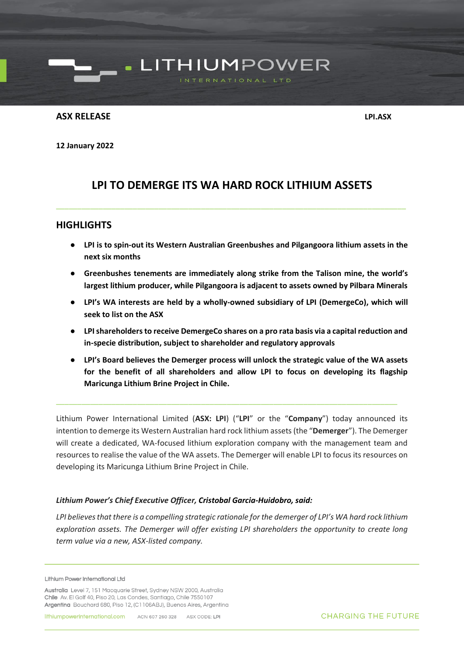**ASX RELEASE LPI.ASX** 

**12 January 2022**

## **LPI TO DEMERGE ITS WA HARD ROCK LITHIUM ASSETS**

- LITHIUMPOWER

\_\_\_\_\_\_\_\_\_\_\_\_\_\_\_\_\_\_\_\_\_\_\_\_\_\_\_\_\_\_\_\_\_\_\_\_\_\_\_\_\_\_\_\_\_\_\_\_\_\_\_\_\_\_\_\_\_\_\_\_\_\_\_\_\_\_\_\_\_\_\_\_\_\_\_\_\_\_\_\_\_\_

## **HIGHLIGHTS**

- **LPI is to spin-out its Western Australian Greenbushes and Pilgangoora lithium assets in the next six months**
- **Greenbushes tenements are immediately along strike from the Talison mine, the world's largest lithium producer, while Pilgangoora is adjacent to assets owned by Pilbara Minerals**
- **LPI's WA interests are held by a wholly-owned subsidiary of LPI (DemergeCo), which will seek to list on the ASX**
- **LPI shareholders to receive DemergeCo shares on a pro rata basis via a capital reduction and in-specie distribution, subject to shareholder and regulatory approvals**
- **LPI's Board believes the Demerger process will unlock the strategic value of the WA assets for the benefit of all shareholders and allow LPI to focus on developing its flagship Maricunga Lithium Brine Project in Chile.**

Lithium Power International Limited (**ASX: LPI**) ("**LPI**" or the "**Company**") today announced its intention to demerge its Western Australian hard rock lithium assets(the "**Demerger**"). The Demerger will create a dedicated, WA-focused lithium exploration company with the management team and resources to realise the value of the WA assets. The Demerger will enable LPI to focus its resources on developing its Maricunga Lithium Brine Project in Chile.

\_\_\_\_\_\_\_\_\_\_\_\_\_\_\_\_\_\_\_\_\_\_\_\_\_\_\_\_\_\_\_\_\_\_\_\_\_\_\_\_\_\_\_\_\_\_\_\_\_\_\_\_\_\_\_\_\_\_\_\_\_\_\_\_\_\_\_\_\_\_\_\_\_\_\_\_\_\_\_\_

## *Lithium Power's Chief Executive Officer, Cristobal Garcia-Huidobro, said:*

*LPI believes that there is a compelling strategic rationale for the demerger of LPI's WA hard rock lithium exploration assets. The Demerger will offer existing LPI shareholders the opportunity to create long term value via a new, ASX-listed company.* 

Lithium Power International Ltd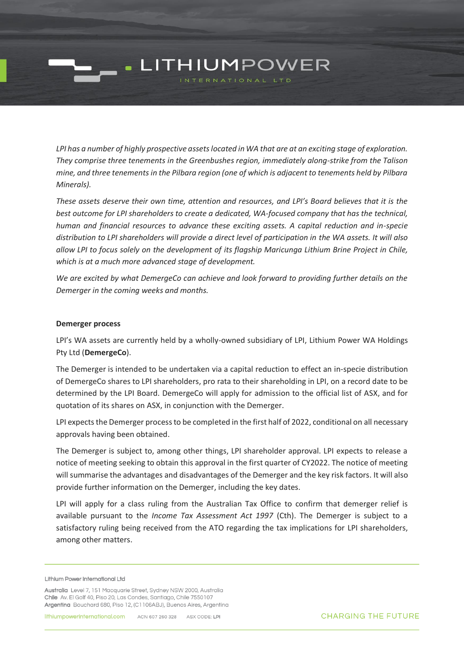# **LITHIUMPOWER** RNATIONAL LTD

*LPI has a number of highly prospective assets located in WA that are at an exciting stage of exploration. They comprise three tenements in the Greenbushes region, immediately along-strike from the Talison mine, and three tenements in the Pilbara region (one of which is adjacent to tenements held by Pilbara Minerals).*

*These assets deserve their own time, attention and resources, and LPI's Board believes that it is the best outcome for LPI shareholders to create a dedicated, WA-focused company that has the technical, human and financial resources to advance these exciting assets. A capital reduction and in-specie distribution to LPI shareholders will provide a direct level of participation in the WA assets. It will also allow LPI to focus solely on the development of its flagship Maricunga Lithium Brine Project in Chile, which is at a much more advanced stage of development.*

*We are excited by what DemergeCo can achieve and look forward to providing further details on the Demerger in the coming weeks and months.* 

## **Demerger process**

LPI's WA assets are currently held by a wholly-owned subsidiary of LPI, Lithium Power WA Holdings Pty Ltd (**DemergeCo**).

The Demerger is intended to be undertaken via a capital reduction to effect an in-specie distribution of DemergeCo shares to LPI shareholders, pro rata to their shareholding in LPI, on a record date to be determined by the LPI Board. DemergeCo will apply for admission to the official list of ASX, and for quotation of its shares on ASX, in conjunction with the Demerger.

LPI expects the Demerger process to be completed in the first half of 2022, conditional on all necessary approvals having been obtained.

The Demerger is subject to, among other things, LPI shareholder approval. LPI expects to release a notice of meeting seeking to obtain this approval in the first quarter of CY2022. The notice of meeting will summarise the advantages and disadvantages of the Demerger and the key risk factors. It will also provide further information on the Demerger, including the key dates.

LPI will apply for a class ruling from the Australian Tax Office to confirm that demerger relief is available pursuant to the *Income Tax Assessment Act 1997* (Cth). The Demerger is subject to a satisfactory ruling being received from the ATO regarding the tax implications for LPI shareholders, among other matters.

Lithium Power International Ltd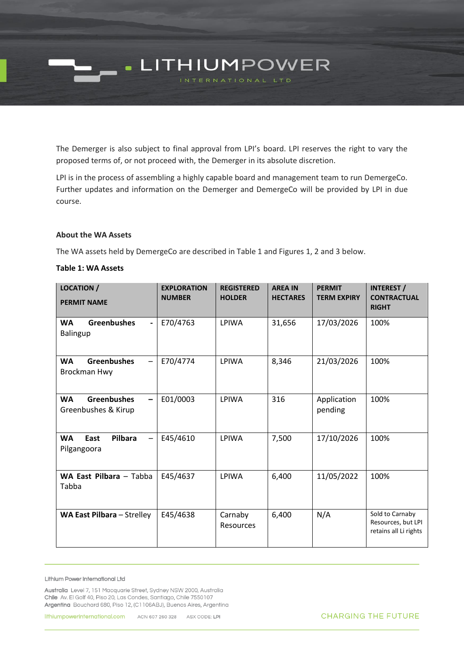The Demerger is also subject to final approval from LPI's board. LPI reserves the right to vary the proposed terms of, or not proceed with, the Demerger in its absolute discretion.

LITHIUMPOWER

INTERNATIONAL LTD

LPI is in the process of assembling a highly capable board and management team to run DemergeCo. Further updates and information on the Demerger and DemergeCo will be provided by LPI in due course.

## **About the WA Assets**

The WA assets held by DemergeCo are described in Table 1 and Figures 1, 2 and 3 below.

| <b>LOCATION /</b><br><b>PERMIT NAME</b>                                     | <b>EXPLORATION</b><br><b>NUMBER</b> | <b>REGISTERED</b><br><b>HOLDER</b> | <b>AREA IN</b><br><b>HECTARES</b> | <b>PERMIT</b><br><b>TERM EXPIRY</b> | <b>INTEREST</b> /<br><b>CONTRACTUAL</b><br><b>RIGHT</b>        |
|-----------------------------------------------------------------------------|-------------------------------------|------------------------------------|-----------------------------------|-------------------------------------|----------------------------------------------------------------|
| Greenbushes<br><b>WA</b><br>Balingup                                        | E70/4763                            | LPIWA                              | 31,656                            | 17/03/2026                          | 100%                                                           |
| <b>Greenbushes</b><br><b>WA</b><br>$\overline{\phantom{0}}$<br>Brockman Hwy | E70/4774                            | LPIWA                              | 8,346                             | 21/03/2026                          | 100%                                                           |
| <b>Greenbushes</b><br><b>WA</b><br>Greenbushes & Kirup                      | E01/0003                            | LPIWA                              | 316                               | Application<br>pending              | 100%                                                           |
| Pilbara<br><b>WA</b><br>East<br>Pilgangoora                                 | E45/4610                            | LPIWA                              | 7,500                             | 17/10/2026                          | 100%                                                           |
| WA East Pilbara - Tabba<br>Tabba                                            | E45/4637                            | LPIWA                              | 6,400                             | 11/05/2022                          | 100%                                                           |
| WA East Pilbara - Strelley                                                  | E45/4638                            | Carnaby<br>Resources               | 6,400                             | N/A                                 | Sold to Carnaby<br>Resources, but LPI<br>retains all Li rights |

### **Table 1: WA Assets**

#### Lithium Power International Ltd

Australia Level 7, 151 Macquarie Street, Sydney NSW 2000, Australia Chile Av. El Golf 40, Piso 20, Las Condes, Santiago, Chile 7550107 Argentina Bouchard 680, Piso 12, (C1106ABJ), Buenos Aires, Argentina

**CHARGING THE FUTURE**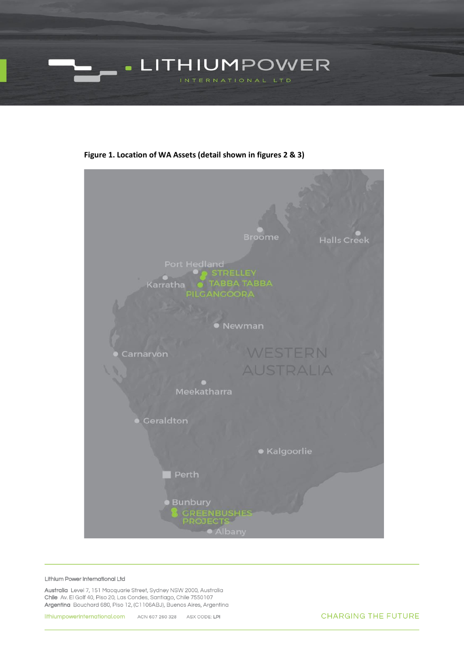

Figure 1. Location of WA Assets (detail shown in figures 2 & 3)



#### Lithium Power International Ltd

Australia Level 7, 151 Macquarie Street, Sydney NSW 2000, Australia Chile Av. El Golf 40, Piso 20, Las Condes, Santiago, Chile 7550107 Argentina Bouchard 680, Piso 12, (C1106ABJ), Buenos Aires, Argentina

**CHARGING THE FUTURE**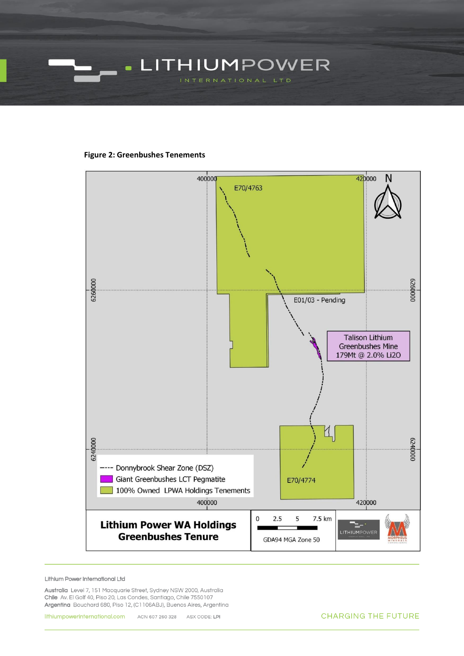

## **Figure 2: Greenbushes Tenements**



#### Lithium Power International Ltd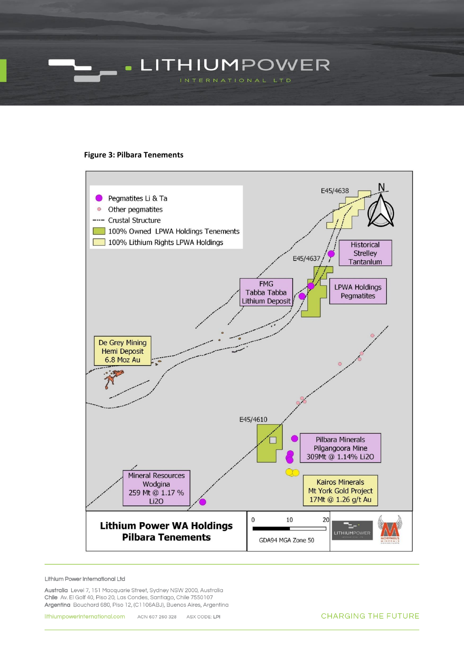

## **Figure 3: Pilbara Tenements**



#### Lithium Power International Ltd

Australia Level 7, 151 Macquarie Street, Sydney NSW 2000, Australia Chile Av. El Golf 40, Piso 20, Las Condes, Santiago, Chile 7550107 Argentina Bouchard 680, Piso 12, (C1106ABJ), Buenos Aires, Argentina

**CHARGING THE FUTURE**